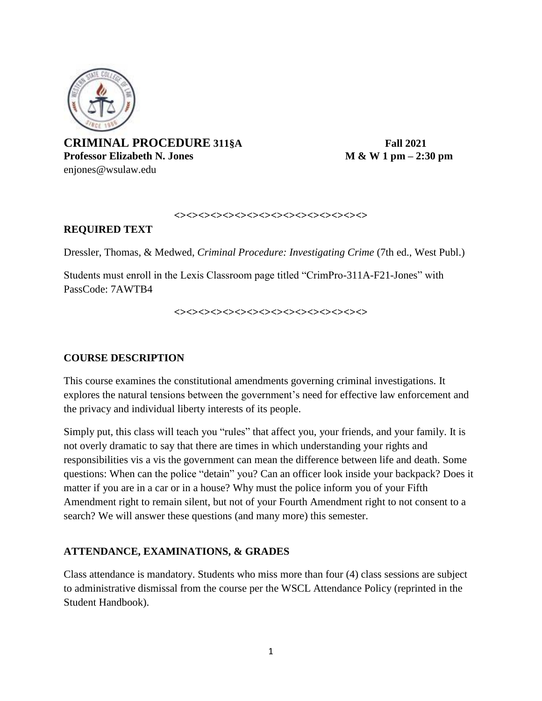

**CRIMINAL PROCEDURE 311§A Fall 2021 Professor Elizabeth N. Jones M & W 1 pm – 2:30 pm** enjones@wsulaw.edu

#### **<><><><><><><><><><><><><><><><>**

## **REQUIRED TEXT**

Dressler, Thomas, & Medwed, *Criminal Procedure: Investigating Crime* (7th ed., West Publ.)

Students must enroll in the Lexis Classroom page titled "CrimPro-311A-F21-Jones" with PassCode: 7AWTB4

**<><><><><><><><><><><><><><><><>**

## **COURSE DESCRIPTION**

This course examines the constitutional amendments governing criminal investigations. It explores the natural tensions between the government's need for effective law enforcement and the privacy and individual liberty interests of its people.

Simply put, this class will teach you "rules" that affect you, your friends, and your family. It is not overly dramatic to say that there are times in which understanding your rights and responsibilities vis a vis the government can mean the difference between life and death. Some questions: When can the police "detain" you? Can an officer look inside your backpack? Does it matter if you are in a car or in a house? Why must the police inform you of your Fifth Amendment right to remain silent, but not of your Fourth Amendment right to not consent to a search? We will answer these questions (and many more) this semester.

## **ATTENDANCE, EXAMINATIONS, & GRADES**

Class attendance is mandatory. Students who miss more than four (4) class sessions are subject to administrative dismissal from the course per the WSCL Attendance Policy (reprinted in the Student Handbook).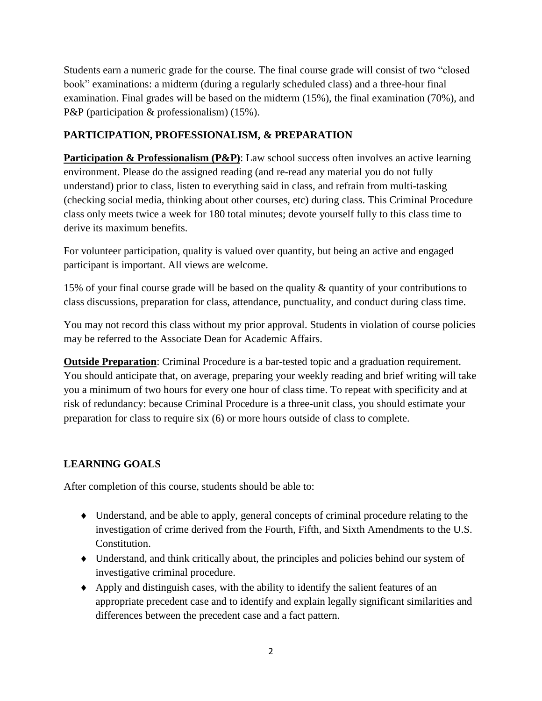Students earn a numeric grade for the course. The final course grade will consist of two "closed book" examinations: a midterm (during a regularly scheduled class) and a three-hour final examination. Final grades will be based on the midterm (15%), the final examination (70%), and P&P (participation & professionalism) (15%).

# **PARTICIPATION, PROFESSIONALISM, & PREPARATION**

**Participation & Professionalism (P&P)**: Law school success often involves an active learning environment. Please do the assigned reading (and re-read any material you do not fully understand) prior to class, listen to everything said in class, and refrain from multi-tasking (checking social media, thinking about other courses, etc) during class. This Criminal Procedure class only meets twice a week for 180 total minutes; devote yourself fully to this class time to derive its maximum benefits.

For volunteer participation, quality is valued over quantity, but being an active and engaged participant is important. All views are welcome.

15% of your final course grade will be based on the quality & quantity of your contributions to class discussions, preparation for class, attendance, punctuality, and conduct during class time.

You may not record this class without my prior approval. Students in violation of course policies may be referred to the Associate Dean for Academic Affairs.

**Outside Preparation**: Criminal Procedure is a bar-tested topic and a graduation requirement. You should anticipate that, on average, preparing your weekly reading and brief writing will take you a minimum of two hours for every one hour of class time. To repeat with specificity and at risk of redundancy: because Criminal Procedure is a three-unit class, you should estimate your preparation for class to require six (6) or more hours outside of class to complete.

# **LEARNING GOALS**

After completion of this course, students should be able to:

- Understand, and be able to apply, general concepts of criminal procedure relating to the investigation of crime derived from the Fourth, Fifth, and Sixth Amendments to the U.S. Constitution.
- Understand, and think critically about, the principles and policies behind our system of investigative criminal procedure.
- Apply and distinguish cases, with the ability to identify the salient features of an appropriate precedent case and to identify and explain legally significant similarities and differences between the precedent case and a fact pattern.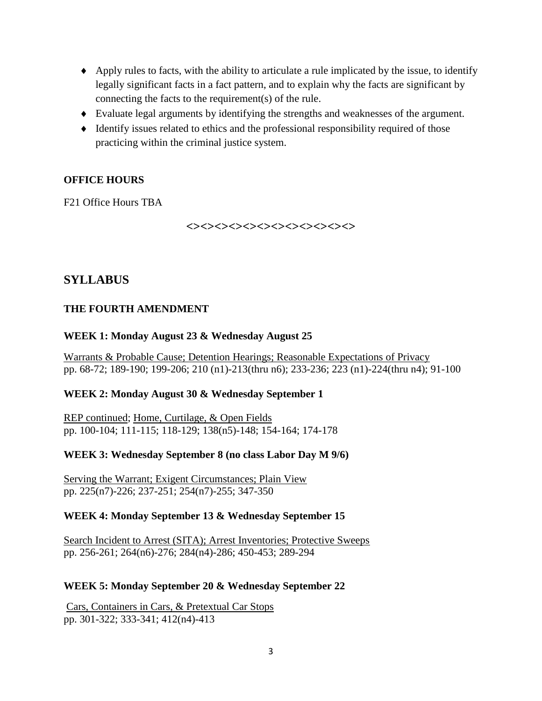- Apply rules to facts, with the ability to articulate a rule implicated by the issue, to identify legally significant facts in a fact pattern, and to explain why the facts are significant by connecting the facts to the requirement(s) of the rule.
- Evaluate legal arguments by identifying the strengths and weaknesses of the argument.
- $\blacklozenge$  Identify issues related to ethics and the professional responsibility required of those practicing within the criminal justice system.

## **OFFICE HOURS**

F21 Office Hours TBA

**<><><><><><><><><><><><>**

# **SYLLABUS**

#### **THE FOURTH AMENDMENT**

#### **WEEK 1: Monday August 23 & Wednesday August 25**

Warrants & Probable Cause; Detention Hearings; Reasonable Expectations of Privacy pp. 68-72; 189-190; 199-206; 210 (n1)-213(thru n6); 233-236; 223 (n1)-224(thru n4); 91-100

#### **WEEK 2: Monday August 30 & Wednesday September 1**

REP continued; Home, Curtilage, & Open Fields pp. 100-104; 111-115; 118-129; 138(n5)-148; 154-164; 174-178

#### **WEEK 3: Wednesday September 8 (no class Labor Day M 9/6)**

Serving the Warrant; Exigent Circumstances; Plain View pp. 225(n7)-226; 237-251; 254(n7)-255; 347-350

#### **WEEK 4: Monday September 13 & Wednesday September 15**

Search Incident to Arrest (SITA); Arrest Inventories; Protective Sweeps pp. 256-261; 264(n6)-276; 284(n4)-286; 450-453; 289-294

#### **WEEK 5: Monday September 20 & Wednesday September 22**

Cars, Containers in Cars, & Pretextual Car Stops pp. 301-322; 333-341; 412(n4)-413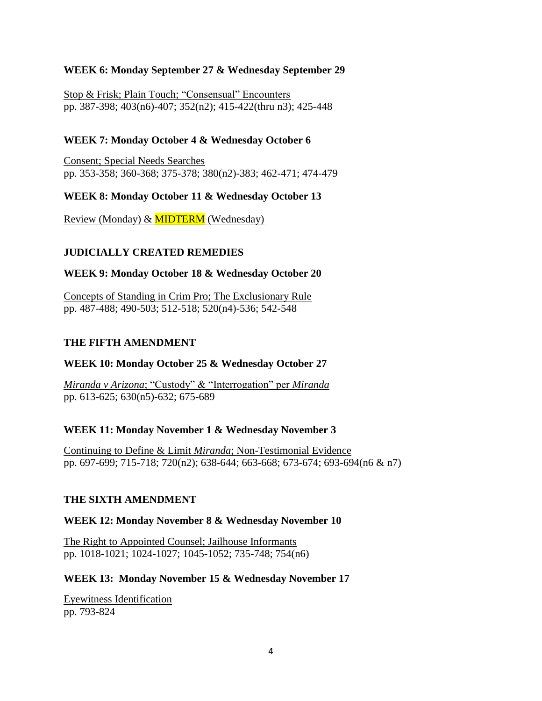## **WEEK 6: Monday September 27 & Wednesday September 29**

Stop & Frisk; Plain Touch; "Consensual" Encounters pp. 387-398; 403(n6)-407; 352(n2); 415-422(thru n3); 425-448

## **WEEK 7: Monday October 4 & Wednesday October 6**

Consent; Special Needs Searches pp. 353-358; 360-368; 375-378; 380(n2)-383; 462-471; 474-479

## **WEEK 8: Monday October 11 & Wednesday October 13**

Review (Monday) & MIDTERM (Wednesday)

## **JUDICIALLY CREATED REMEDIES**

#### **WEEK 9: Monday October 18 & Wednesday October 20**

Concepts of Standing in Crim Pro; The Exclusionary Rule pp. 487-488; 490-503; 512-518; 520(n4)-536; 542-548

#### **THE FIFTH AMENDMENT**

#### **WEEK 10: Monday October 25 & Wednesday October 27**

*Miranda v Arizona*; "Custody" & "Interrogation" per *Miranda* pp. 613-625; 630(n5)-632; 675-689

#### **WEEK 11: Monday November 1 & Wednesday November 3**

Continuing to Define & Limit *Miranda*; Non-Testimonial Evidence pp. 697-699; 715-718; 720(n2); 638-644; 663-668; 673-674; 693-694(n6 & n7)

#### **THE SIXTH AMENDMENT**

#### **WEEK 12: Monday November 8 & Wednesday November 10**

The Right to Appointed Counsel; Jailhouse Informants pp. 1018-1021; 1024-1027; 1045-1052; 735-748; 754(n6)

#### **WEEK 13: Monday November 15 & Wednesday November 17**

Eyewitness Identification pp. 793-824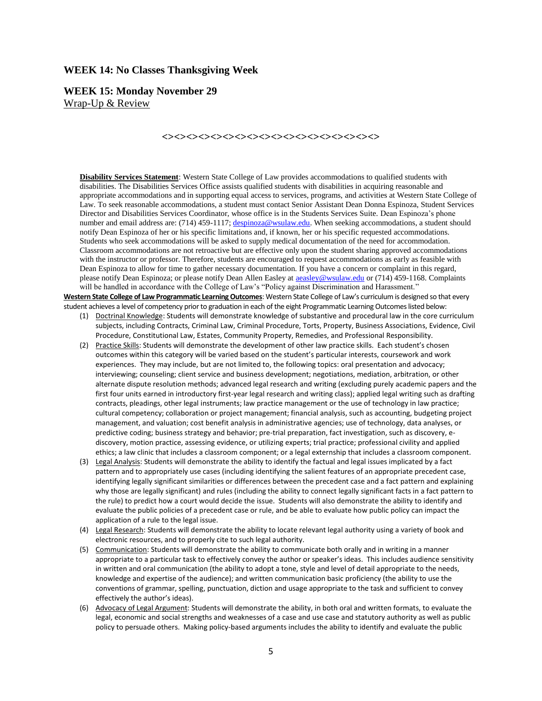#### **WEEK 14: No Classes Thanksgiving Week**

**WEEK 15: Monday November 29** Wrap-Up & Review

#### **<><><><><><><><><><><><><><><><><><>**

**Disability Services Statement**: Western State College of Law provides accommodations to qualified students with disabilities. The Disabilities Services Office assists qualified students with disabilities in acquiring reasonable and appropriate accommodations and in supporting equal access to services, programs, and activities at Western State College of Law. To seek reasonable accommodations, a student must contact Senior Assistant Dean Donna Espinoza, Student Services Director and Disabilities Services Coordinator, whose office is in the Students Services Suite. Dean Espinoza's phone number and email address are: (714) 459-1117[; despinoza@wsulaw.edu.](mailto:despinoza@wsulaw.edu) When seeking accommodations, a student should notify Dean Espinoza of her or his specific limitations and, if known, her or his specific requested accommodations. Students who seek accommodations will be asked to supply medical documentation of the need for accommodation. Classroom accommodations are not retroactive but are effective only upon the student sharing approved accommodations with the instructor or professor. Therefore, students are encouraged to request accommodations as early as feasible with Dean Espinoza to allow for time to gather necessary documentation. If you have a concern or complaint in this regard, please notify Dean Espinoza; or please notify Dean Allen Easley at a easley@wsulaw.edu or (714) 459-1168. Complaints will be handled in accordance with the College of Law's "Policy against Discrimination and Harassment."

**Western State College of Law Programmatic Learning Outcomes**: Western State College of Law's curriculum is designed so that every student achieves a level of competency prior to graduation in each of the eight Programmatic Learning Outcomes listed below:

- (1) Doctrinal Knowledge: Students will demonstrate knowledge of substantive and procedural law in the core curriculum subjects, including Contracts, Criminal Law, Criminal Procedure, Torts, Property, Business Associations, Evidence, Civil Procedure, Constitutional Law, Estates, Community Property, Remedies, and Professional Responsibility.
- (2) Practice Skills: Students will demonstrate the development of other law practice skills. Each student's chosen outcomes within this category will be varied based on the student's particular interests, coursework and work experiences. They may include, but are not limited to, the following topics: oral presentation and advocacy; interviewing; counseling; client service and business development; negotiations, mediation, arbitration, or other alternate dispute resolution methods; advanced legal research and writing (excluding purely academic papers and the first four units earned in introductory first-year legal research and writing class); applied legal writing such as drafting contracts, pleadings, other legal instruments; law practice management or the use of technology in law practice; cultural competency; collaboration or project management; financial analysis, such as accounting, budgeting project management, and valuation; cost benefit analysis in administrative agencies; use of technology, data analyses, or predictive coding; business strategy and behavior; pre-trial preparation, fact investigation, such as discovery, ediscovery, motion practice, assessing evidence, or utilizing experts; trial practice; professional civility and applied ethics; a law clinic that includes a classroom component; or a legal externship that includes a classroom component.
- (3) Legal Analysis: Students will demonstrate the ability to identify the factual and legal issues implicated by a fact pattern and to appropriately use cases (including identifying the salient features of an appropriate precedent case, identifying legally significant similarities or differences between the precedent case and a fact pattern and explaining why those are legally significant) and rules (including the ability to connect legally significant facts in a fact pattern to the rule) to predict how a court would decide the issue. Students will also demonstrate the ability to identify and evaluate the public policies of a precedent case or rule, and be able to evaluate how public policy can impact the application of a rule to the legal issue.
- (4) Legal Research: Students will demonstrate the ability to locate relevant legal authority using a variety of book and electronic resources, and to properly cite to such legal authority.
- (5) Communication: Students will demonstrate the ability to communicate both orally and in writing in a manner appropriate to a particular task to effectively convey the author or speaker's ideas. This includes audience sensitivity in written and oral communication (the ability to adopt a tone, style and level of detail appropriate to the needs, knowledge and expertise of the audience); and written communication basic proficiency (the ability to use the conventions of grammar, spelling, punctuation, diction and usage appropriate to the task and sufficient to convey effectively the author's ideas).
- (6) Advocacy of Legal Argument: Students will demonstrate the ability, in both oral and written formats, to evaluate the legal, economic and social strengths and weaknesses of a case and use case and statutory authority as well as public policy to persuade others. Making policy-based arguments includes the ability to identify and evaluate the public